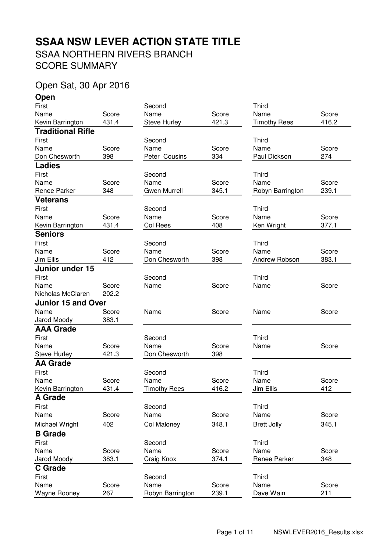# SSAA NORTHERN RIVERS BRANCH **SSAA NSW LEVER ACTION STATE TITLE**

SCORE SUMMARY

## Open Sat, 30 Apr 2016

**Open**

| First                     |              | Second                   |                | <b>Third</b>        |              |
|---------------------------|--------------|--------------------------|----------------|---------------------|--------------|
| Name                      | Score        | Name                     | Score          | Name                | Score        |
| Kevin Barrington          | 431.4        | <b>Steve Hurley</b>      | 421.3          | <b>Timothy Rees</b> | 416.2        |
| <b>Traditional Rifle</b>  |              |                          |                |                     |              |
| First                     |              | Second                   |                | Third               |              |
| Name                      | Score        | Name                     | Score          | Name                | Score        |
| Don Chesworth             | 398          | Peter Cousins            | 334            | Paul Dickson        | 274          |
| <b>Ladies</b>             |              |                          |                |                     |              |
| First                     |              | Second                   |                | Third               |              |
| Name                      | Score        | Name                     | Score          | Name                | Score        |
| Renee Parker              | 348          | <b>Gwen Murrell</b>      | 345.1          | Robyn Barrington    | 239.1        |
| <b>Veterans</b>           |              |                          |                |                     |              |
| First                     |              | Second                   |                | Third               |              |
| Name                      | Score        | Name                     | Score          | Name                | Score        |
| Kevin Barrington          | 431.4        | Col Rees                 | 408            | Ken Wright          | 377.1        |
| <b>Seniors</b>            |              |                          |                |                     |              |
| First                     |              | Second                   |                | <b>Third</b>        |              |
| Name                      | Score        | Name                     | Score          | Name                | Score        |
| Jim Ellis                 | 412          | Don Chesworth            | 398            | Andrew Robson       | 383.1        |
| <b>Junior under 15</b>    |              |                          |                |                     |              |
| First                     |              | Second                   |                | <b>Third</b>        |              |
| Name                      | Score        | Name                     | Score          | Name                | Score        |
| Nicholas McClaren         | 202.2        |                          |                |                     |              |
| <b>Junior 15 and Over</b> |              |                          |                |                     |              |
| Name                      | Score        | Name                     | Score          | Name                | Score        |
| Jarod Moody               | 383.1        |                          |                |                     |              |
| <b>AAA Grade</b>          |              |                          |                |                     |              |
| First                     |              | Second                   |                | <b>Third</b>        |              |
| Name                      | Score        | Name                     | Score          | Name                | Score        |
| <b>Steve Hurley</b>       | 421.3        | Don Chesworth            | 398            |                     |              |
| <b>AA Grade</b>           |              |                          |                |                     |              |
| First                     |              | Second                   |                | <b>Third</b>        |              |
| Name                      | Score        | Name                     | Score          | Name                | Score        |
| Kevin Barrington          | 431.4        | <b>Timothy Rees</b>      | 416.2          | Jim Ellis           | 412          |
| A Grade                   |              |                          |                |                     |              |
| First                     |              | Second                   |                | Third               |              |
| Name                      | Score        | Name                     | Score          | Name                | Score        |
| Michael Wright            | 402          | Col Maloney              | 348.1          | <b>Brett Jolly</b>  | 345.1        |
| <b>B</b> Grade            |              |                          |                |                     |              |
|                           |              |                          |                |                     |              |
| First<br>Name             | Score        | Second<br>Name           | Score          | Third<br>Name       | Score        |
| Jarod Moody               | 383.1        | Craig Knox               | 374.1          | Renee Parker        | 348          |
|                           |              |                          |                |                     |              |
| <b>C</b> Grade            |              |                          |                |                     |              |
| First                     |              | Second                   |                | <b>Third</b>        |              |
| Name                      | Score<br>267 | Name<br>Robyn Barrington | Score<br>239.1 | Name<br>Dave Wain   | Score<br>211 |
| Wayne Rooney              |              |                          |                |                     |              |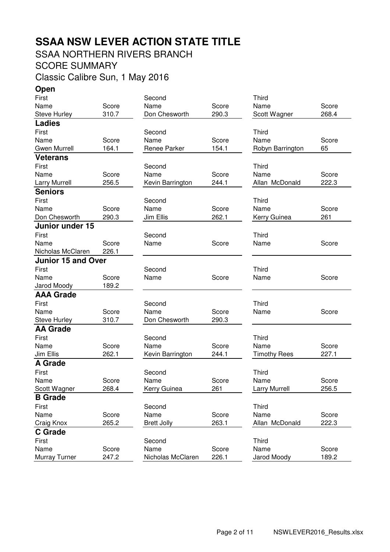# **SSAA NSW LEVER ACTION STATE TITLE**

## SSAA NORTHERN RIVERS BRANCH

### SCORE SUMMARY

Classic Calibre Sun, 1 May 2016

**Open**

| First                     |       | Second             |       | <b>Third</b>         |       |
|---------------------------|-------|--------------------|-------|----------------------|-------|
| Name                      | Score | Name               | Score | Name                 | Score |
| <b>Steve Hurley</b>       | 310.7 | Don Chesworth      | 290.3 | Scott Wagner         | 268.4 |
| <b>Ladies</b>             |       |                    |       |                      |       |
| First                     |       | Second             |       | <b>Third</b>         |       |
| Name                      | Score | Name               | Score | Name                 | Score |
| <b>Gwen Murrell</b>       | 164.1 | Renee Parker       | 154.1 | Robyn Barrington     | 65    |
| <b>Veterans</b>           |       |                    |       |                      |       |
| First                     |       | Second             |       | Third                |       |
| Name                      | Score | Name               | Score | Name                 | Score |
| <b>Larry Murrell</b>      | 256.5 | Kevin Barrington   | 244.1 | Allan McDonald       | 222.3 |
| <b>Seniors</b>            |       |                    |       |                      |       |
| First                     |       | Second             |       | <b>Third</b>         |       |
| Name                      | Score | Name               | Score | Name                 | Score |
| Don Chesworth             | 290.3 | Jim Ellis          | 262.1 | Kerry Guinea         | 261   |
| Junior under 15           |       |                    |       |                      |       |
| First                     |       | Second             |       | Third                |       |
| Name                      | Score | Name               | Score | Name                 | Score |
| Nicholas McClaren         | 226.1 |                    |       |                      |       |
| <b>Junior 15 and Over</b> |       |                    |       |                      |       |
| First                     |       | Second             |       | Third                |       |
| Name                      | Score | Name               | Score | Name                 | Score |
| Jarod Moody               | 189.2 |                    |       |                      |       |
| <b>AAA Grade</b>          |       |                    |       |                      |       |
| First                     |       | Second             |       | <b>Third</b>         |       |
| Name                      | Score | Name               | Score | Name                 | Score |
| <b>Steve Hurley</b>       | 310.7 | Don Chesworth      | 290.3 |                      |       |
| <b>AA Grade</b>           |       |                    |       |                      |       |
| First                     |       | Second             |       | <b>Third</b>         |       |
| Name                      | Score | Name               | Score | Name                 | Score |
| Jim Ellis                 | 262.1 | Kevin Barrington   | 244.1 | <b>Timothy Rees</b>  | 227.1 |
| <b>A Grade</b>            |       |                    |       |                      |       |
| First                     |       | Second             |       | <b>Third</b>         |       |
| Name                      | Score | Name               | Score | Name                 | Score |
| Scott Wagner              | 268.4 | Kerry Guinea       | 261   | <b>Larry Murrell</b> | 256.5 |
| <b>B</b> Grade            |       |                    |       |                      |       |
| First                     |       | Second             |       | <b>Third</b>         |       |
| Name                      | Score | Name               | Score | Name                 | Score |
| Craig Knox                | 265.2 | <b>Brett Jolly</b> | 263.1 | Allan McDonald       | 222.3 |
| <b>C</b> Grade            |       |                    |       |                      |       |
| First                     |       | Second             |       | <b>Third</b>         |       |
| Name                      | Score | Name               | Score | Name                 | Score |
| Murray Turner             | 247.2 | Nicholas McClaren  | 226.1 | Jarod Moody          | 189.2 |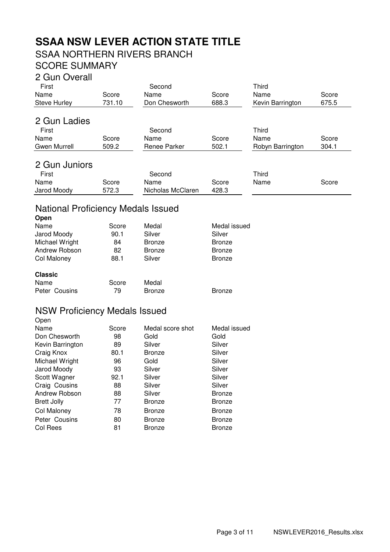# **SSAA NSW LEVER ACTION STATE TITLE**

## SSAA NORTHERN RIVERS BRANCH

## SCORE SUMMARY

#### 2 Gun Overall

| First         |        | Second            |       | Third            |       |
|---------------|--------|-------------------|-------|------------------|-------|
| Name          | Score  | Name              | Score | Name             | Score |
| Steve Hurley  | 731.10 | Don Chesworth     | 688.3 | Kevin Barrington | 675.5 |
| 2 Gun Ladies  |        |                   |       |                  |       |
|               |        |                   |       |                  |       |
| First         |        | Second            |       | <b>Third</b>     |       |
| Name          | Score  | Name              | Score | Name             | Score |
| Gwen Murrell  | 509.2  | Renee Parker      | 502.1 | Robyn Barrington | 304.1 |
|               |        |                   |       |                  |       |
| 2 Gun Juniors |        |                   |       |                  |       |
| First         |        | Second            |       | Third            |       |
| Name          | Score  | Name              | Score | Name             | Score |
| Jarod Moody   | 572.3  | Nicholas McClaren | 428.3 |                  |       |

### National Proficiency Medals Issued

| Open           |       |               |               |
|----------------|-------|---------------|---------------|
| Name           | Score | Medal         | Medal issued  |
| Jarod Moody    | 90.1  | Silver        | Silver        |
| Michael Wright | 84    | <b>Bronze</b> | <b>Bronze</b> |
| Andrew Robson  | 82    | <b>Bronze</b> | <b>Bronze</b> |
| Col Maloney    | 88.1  | Silver        | <b>Bronze</b> |
| <b>Classic</b> |       |               |               |
| Name           | Score | Medal         |               |
| Peter Cousins  | 79    | <b>Bronze</b> | <b>Bronze</b> |
|                |       |               |               |

#### NSW Proficiency Medals Issued **Open**

| Name               | Score | Medal score shot | Medal issued  |
|--------------------|-------|------------------|---------------|
| Don Chesworth      | 98    | Gold             | Gold          |
| Kevin Barrington   | 89    | Silver           | Silver        |
| Craig Knox         | 80.1  | <b>Bronze</b>    | Silver        |
| Michael Wright     | 96    | Gold             | Silver        |
| Jarod Moody        | 93    | Silver           | Silver        |
| Scott Wagner       | 92.1  | Silver           | Silver        |
| Craig Cousins      | 88    | Silver           | Silver        |
| Andrew Robson      | 88    | Silver           | <b>Bronze</b> |
| <b>Brett Jolly</b> | 77    | <b>Bronze</b>    | <b>Bronze</b> |
| Col Maloney        | 78    | <b>Bronze</b>    | <b>Bronze</b> |
| Peter Cousins      | 80    | <b>Bronze</b>    | <b>Bronze</b> |
| Col Rees           | 81    | <b>Bronze</b>    | <b>Bronze</b> |
|                    |       |                  |               |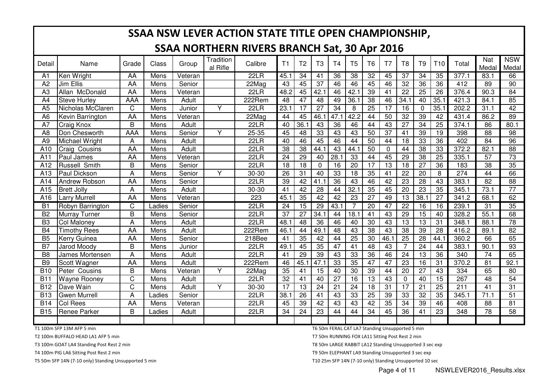|                 |                      |            |        |         |                       | SSAA NSW LEVER ACTION STATE TITLE OPEN CHAMPIONSHIP, |                 |                 |                 |                |                 |                 |                 |                 |                 |                 |                  |                 |                     |
|-----------------|----------------------|------------|--------|---------|-----------------------|------------------------------------------------------|-----------------|-----------------|-----------------|----------------|-----------------|-----------------|-----------------|-----------------|-----------------|-----------------|------------------|-----------------|---------------------|
|                 |                      |            |        |         |                       | <b>SSAA NORTHERN RIVERS BRANCH Sat, 30 Apr 2016</b>  |                 |                 |                 |                |                 |                 |                 |                 |                 |                 |                  |                 |                     |
| Detail          | Name                 | Grade      | Class  | Group   | Tradition<br>al Rifle | Calibre                                              | T1              | T <sub>2</sub>  | T <sub>3</sub>  | T <sub>4</sub> | T <sub>5</sub>  | T <sub>6</sub>  | T <sub>7</sub>  | T <sub>8</sub>  | T <sub>9</sub>  | T <sub>10</sub> | Total            | Nat<br>Medal    | <b>NSW</b><br>Medal |
| A1              | Ken Wright           | AA         | Mens   | Veteran |                       | 22LR                                                 | 45.1            | 34              | 41              | 36             | $\overline{38}$ | $\overline{32}$ | 45              | $\overline{37}$ | $\overline{34}$ | 35              | 377.1            | 83.1            | 66                  |
| A <sub>2</sub>  | Jim Ellis            | AA         | Mens   | Senior  |                       | 22Mag                                                | 43              | 45              | 37              | 46             | 46              | 45              | 46              | 32              | 36              | 36              | 412              | 89              | 90                  |
| A <sub>3</sub>  | Allan McDonald       | AA         | Mens   | Veteran |                       | 22LR                                                 | 48.2            | 45              | 42.1            | 46             | 42.1            | 39              | 41              | 22              | 25              | 26              | 376.4            | 90.3            | 84                  |
| A4              | <b>Steve Hurley</b>  | <b>AAA</b> | Mens   | Adult   |                       | 222Rem                                               | 48              | 47              | 48              | 49             | 36.1            | 38              | 46              | 34.1            | 40              | 35.1            | 421.3            | 84.1            | 85                  |
| A <sub>5</sub>  | Nicholas McClaren    | C          | Mens   | Junior  | Y                     | 22LR                                                 | 23.1            | $\overline{17}$ | $\overline{27}$ | 34             | 8               | $\overline{25}$ | 17              | 16              | $\mathbf 0$     | 35.1            | 202.2            | 31.1            | $\overline{42}$     |
| A <sub>6</sub>  | Kevin Barrington     | <b>AA</b>  | Mens   | Veteran |                       | 22Mag                                                | 44              | 45              | 46.1            | 47.1           | 42.2            | 44              | 50              | 32              | 39              | 42              | 431.4            | 86.2            | 89                  |
| A7              | <b>Craig Knox</b>    | B          | Mens   | Adult   |                       | 22LR                                                 | 40              | 36.1            | 43              | 36             | 46              | 44              | 43              | 27              | $\overline{34}$ | $\overline{25}$ | 374.1            | 86              | 80.1                |
| A <sub>8</sub>  | Don Chesworth        | <b>AAA</b> | Mens   | Senior  | Y                     | 25-35                                                | 45              | 48              | 33              | 43             | $\overline{43}$ | $\overline{50}$ | $\overline{37}$ | $\overline{41}$ | $\overline{39}$ | $\overline{19}$ | 398              | 88              | 98                  |
| A <sub>9</sub>  | Michael Wright       | А          | Mens   | Adult   |                       | 22LR                                                 | 40              | 46              | 45              | 46             | 44              | 50              | 44              | 18              | 33              | 36              | 402              | 84              | 96                  |
| A10             | <b>Craig Cousins</b> | AA         | Mens   | Adult   |                       | 22LR                                                 | $\overline{38}$ | $\overline{38}$ | 44.1            | 43             | 44.1            | $\overline{50}$ | $\mathbf{0}$    | 44              | $\overline{38}$ | $\overline{33}$ | 372.2            | 82.1            | $\overline{88}$     |
| A11             | Paul James           | AA         | Mens   | Veteran |                       | 22LR                                                 | 24              | 29              | 40              | 28.1           | 33              | 44              | 45              | 29              | 38              | $\overline{25}$ | 335.1            | 57              | 73                  |
| A12             | Russell Smith        | B          | Mens   | Senior  |                       | 22LR                                                 | 18              | $\overline{18}$ | $\mathbf 0$     | 16             | $\overline{20}$ | $\overline{17}$ | $\overline{13}$ | 18              | $\overline{27}$ | $\overline{36}$ | $\overline{183}$ | $\overline{38}$ | $\overline{35}$     |
| A <sub>13</sub> | Paul Dickson         | A          | Mens   | Senior  | Y                     | 30-30                                                | 26              | 31              | 40              | 33             | $\overline{18}$ | $\overline{35}$ | 41              | $\overline{22}$ | $\overline{20}$ | 8               | $\overline{274}$ | $\overline{44}$ | 66                  |
| A14             | <b>Andrew Robson</b> | AA         | Mens   | Senior  |                       | 22LR                                                 | 39              | 42              | 41.1            | 36             | 43              | 46              | 42              | $\overline{23}$ | $\overline{28}$ | $\overline{43}$ | 383.1            | $\overline{82}$ | 88                  |
| A15             | <b>Brett Jolly</b>   | Α          | Mens   | Adult   |                       | 30-30                                                | 41              | 42              | 28              | 44             | 32.1            | 35              | 45              | 20              | 23              | 35              | 345.1            | 73.1            | $\overline{77}$     |
| A16             | <b>Larry Murrell</b> | AA         | Mens   | Veteran |                       | 223                                                  | 45.1            | 35              | 42              | 42             | 23              | $\overline{27}$ | 49              | 13              | 38.1            | $\overline{27}$ | 341.2            | 68.1            | 62                  |
| $\overline{B1}$ | Robyn Barrington     | C          | Ladies | Senior  |                       | 22LR                                                 | $\overline{24}$ | 15              | 29              | 43.1           | $\overline{7}$  | $\overline{20}$ | 47              | $\overline{22}$ | 16              | 16              | 239.1            | $\overline{31}$ | 35                  |
| B <sub>2</sub>  | <b>Murray Turner</b> | B          | Mens   | Senior  |                       | 22LR                                                 | 37              | 27              | 34.1            | 44             | 18.1            | 41              | 43              | 29              | 15              | 40              | 328.2            | 55.1            | 68                  |
| B <sub>3</sub>  | <b>Col Malonev</b>   | A          | Mens   | Adult   |                       | 22LR                                                 | 48.1            | 48              | 36              | 46             | 40              | 30              | 43              | 13              | 13              | 31              | 348.1            | 88.1            | $\overline{78}$     |
| $\overline{B4}$ | <b>Timothy Rees</b>  | AA         | Mens   | Adult   |                       | 222Rem                                               | 46.1            | 44              | 49.1            | 48             | $\overline{43}$ | $\overline{38}$ | $\overline{43}$ | $\overline{38}$ | 39              | $\overline{28}$ | 416.2            | 89.1            | $\overline{82}$     |
| <b>B5</b>       | <b>Kerry Guinea</b>  | AA         | Mens   | Senior  |                       | 218Bee                                               | 41              | 35              | 42              | 44             | $\overline{25}$ | 30              | 46.1            | 25              | 28              | 44.1            | 360.2            | 66              | 65                  |
| <b>B7</b>       | <b>Jarod Moody</b>   | B          | Mens   | Junior  |                       | <b>22LR</b>                                          | 49.1            | 45              | 35              | 47             | 41              | 48              | 43              | 7               | 24              | 44              | 383.1            | 90.1            | 93                  |
| B <sub>8</sub>  | James Mortensen      | Α          | Mens   | Adult   |                       | 22LR                                                 | 41              | 29              | 39              | 43             | 33              | 36              | 46              | 24              | 13              | 36              | 340              | 74              | 65                  |
| B <sub>9</sub>  | Scott Wagner         | AA         | Mens   | Adult   |                       | 222Rem                                               | 46              | 45.1            | 47.1            | 33             | 35              | 47              | 47              | 23              | 16              | $\overline{31}$ | 370.2            | 81              | 92.1                |
| <b>B10</b>      | Peter Cousins        | B          | Mens   | Veteran | Y                     | 22Mag                                                | 35              | 41              | 15              | 40             | 30              | 39              | 44              | 20              | 27              | 43              | 334              | 65              | 80                  |
| <b>B11</b>      | <b>Wayne Rooney</b>  | C          | Mens   | Adult   |                       | 22LR                                                 | 32              | 41              | 40              | 27             | 16              | 13              | 43              | $\Omega$        | 40              | 15              | 267              | 48              | 54                  |
| <b>B12</b>      | Dave Wain            | C          | Mens   | Adult   | Y                     | 30-30                                                | 17              | 13              | 24              | 21             | 24              | 18              | 31              | 17              | 21              | 25              | 211              | 41              | 31                  |
| <b>B13</b>      | <b>Gwen Murrell</b>  | A          | Ladies | Senior  |                       | 22LR                                                 | 38.1            | 26              | 41              | 43             | 33              | 25              | 39              | 33              | 32              | 35              | 345.1            | 71.1            | $\overline{51}$     |
| <b>B14</b>      | <b>Col Rees</b>      | AA         | Mens   | Veteran |                       | 22LR                                                 | 45              | 39              | 42              | 43             | 43              | 42              | 35              | 34              | 39              | 46              | 408              | 88              | 81                  |
| <b>B15</b>      | <b>Renee Parker</b>  | B          | Ladies | Adult   |                       | 22LR                                                 | 34              | 24              | 23              | 44             | 44              | 34              | 45              | 36              | 41              | 23              | 348              | 78              | 58                  |
|                 |                      |            |        |         |                       |                                                      |                 |                 |                 |                |                 |                 |                 |                 |                 |                 |                  |                 |                     |

T1 100m SFP 13M AFP 5 min

T2 100m BUFFALO HEAD LA1 AFP 5 min

T3 100m GOAT LA4 Standing Post Rest 2 min

T4 100m PIG LA6 Sitting Post Rest 2 min

T5 50m SFP 14N (7-10 only) Standing Unsupported 5 min

T6 50m FERAL CAT LA7 Standing Unsupported 5 min

T7 50m RUNNING FOX LA11 Sitting Post Rest 2 min

T8 50m LARGE RABBIT LA12 Standing Unsupported 3 sec exp

T9 50m ELEPHANT LA9 Standing Unsupported 3 sec exp

T10 25m SFP 14N (7-10 only) Standing Unsupported 10 sec

Page 4 of 11 NSWLEVER2016\_Results.xlsx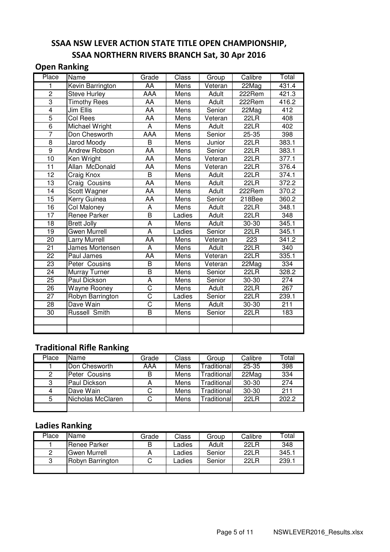#### SSAA NSW LEVER ACTION STATE TITLE OPEN CHAMPIONSHIP, SSAA NORTHERN RIVERS BRANCH Sat, 30 Apr 2016

#### Open Ranking

| Place           | Name                    | Grade                   | Class       | Group        | Calibre   | Total            |
|-----------------|-------------------------|-------------------------|-------------|--------------|-----------|------------------|
| 1               | <b>Kevin Barrington</b> | AA                      | <b>Mens</b> | Veteran      | 22Mag     | 431.4            |
| $\overline{2}$  | <b>Steve Hurley</b>     | AAA                     | Mens        | Adult        | $222$ Rem | 421.3            |
| 3               | <b>Timothy Rees</b>     | AA                      | Mens        | Adult        | 222Rem    | 416.2            |
| $\overline{4}$  | Jim Ellis               | AA                      | Mens        | Senior       | 22Mag     | $\overline{412}$ |
| $\overline{5}$  | Col Rees                | AA                      | Mens        | Veteran      | 22LR      | 408              |
| $\overline{6}$  | Michael Wright          | A                       | Mens        | Adult        | 22LR      | 402              |
| $\overline{7}$  | Don Chesworth           | AAA                     | Mens        | Senior       | 25-35     | 398              |
| $\overline{8}$  | <b>Jarod Moody</b>      | $\overline{B}$          | Mens        | Junior       | 22LR      | 383.1            |
| $\overline{9}$  | Andrew Robson           | AA                      | Mens        | Senior       | 22LR      | 383.1            |
| 10              | Ken Wright              | AA                      | Mens        | Veteran      | 22LR      | 377.1            |
| $\overline{11}$ | Allan McDonald          | AA                      | Mens        | Veteran      | 22LR      | 376.4            |
| 12              | Craig Knox              | B                       | Mens        | Adult        | 22LR      | 374.1            |
| $\overline{13}$ | Craig Cousins           | AA                      | Mens        | Adult        | 22LR      | 372.2            |
| 14              | Scott Wagner            | AA                      | Mens        | Adult        | 222Rem    | 370.2            |
| 15              | Kerry Guinea            | AA                      | Mens        | Senior       | 218Bee    | 360.2            |
| 16              | Col Maloney             | A                       | Mens        | Adult        | 22LR      | 348.1            |
| $\overline{17}$ | Renee Parker            | $\overline{\mathsf{B}}$ | Ladies      | Adult        | 22LR      | 348              |
| $\overline{18}$ | <b>Brett Jolly</b>      | $\overline{A}$          | Mens        | Adult        | 30-30     | 345.1            |
| 19              | Gwen Murrell            | A                       | Ladies      | Senior       | 22LR      | 345.1            |
| 20              | <b>Larry Murrell</b>    | AA                      | Mens        | Veteran      | 223       | 341.2            |
| $\overline{21}$ | James Mortensen         | $\overline{A}$          | Mens        | <b>Adult</b> | 22LR      | 340              |
| 22              | Paul James              | AA                      | Mens        | Veteran      | 22LR      | 335.1            |
| $\overline{23}$ | Peter Cousins           | $\overline{\mathsf{B}}$ | Mens        | Veteran      | 22Mag     | $\overline{3}34$ |
| $\overline{24}$ | Murray Turner           | $\overline{\mathsf{B}}$ | Mens        | Senior       | 22LR      | 328.2            |
| $\overline{25}$ | <b>Paul Dickson</b>     | $\overline{\mathsf{A}}$ | Mens        | Senior       | 30-30     | 274              |
| $\overline{26}$ | <b>Wayne Rooney</b>     | $\overline{\text{C}}$   | Mens        | <b>Adult</b> | 22LR      | 267              |
| $\overline{27}$ | Robyn Barrington        | C                       | Ladies      | Senior       | 22LR      | 239.1            |
| $\overline{28}$ | Dave Wain               | $\overline{\text{C}}$   | Mens        | Adult        | 30-30     | $\overline{211}$ |
| $\overline{30}$ | <b>Russell Smith</b>    | $\overline{\mathsf{B}}$ | Mens        | Senior       | 22LR      | 183              |
|                 |                         |                         |             |              |           |                  |
|                 |                         |                         |             |              |           |                  |

#### Traditional Rifle Ranking

| Place | Name              | Grade | Class | Group       | Calibre   | Total |
|-------|-------------------|-------|-------|-------------|-----------|-------|
|       | Don Chesworth     | AAA   | Mens  | Traditional | $25 - 35$ | 398   |
| 2     | Peter Cousins     | В     | Mens  | Traditional | 22Mag     | 334   |
| 3     | Paul Dickson      | А     | Mens  | Traditional | $30 - 30$ | 274   |
| 4     | Dave Wain         | С     | Mens  | Traditional | 30-30     | 211   |
| 5     | Nicholas McClaren | С     | Mens  | Traditional | 22LR      | 202.2 |
|       |                   |       |       |             |           |       |

### Ladies Ranking

| Place | Name                | Grade | Class  | Group  | Calibre | Total |
|-------|---------------------|-------|--------|--------|---------|-------|
|       | <b>Renee Parker</b> | B     | Ladies | Adult  | 22L R   | 348   |
| 2     | Gwen Murrell        |       | Ladies | Senior | 22L R   | 345.1 |
| 3     | Robyn Barrington    | С     | Ladies | Senior | 22L R   | 239.1 |
|       |                     |       |        |        |         |       |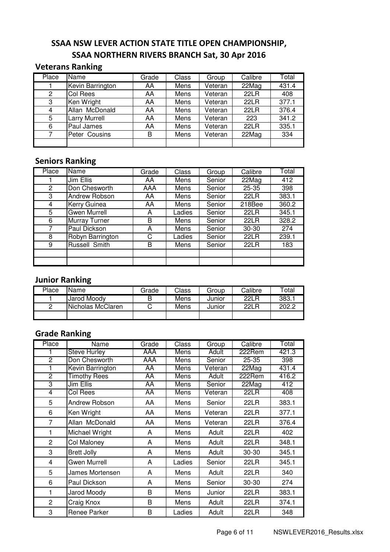#### SSAA NSW LEVER ACTION STATE TITLE OPEN CHAMPIONSHIP, SSAA NORTHERN RIVERS BRANCH Sat, 30 Apr 2016

#### Veterans Ranking

| Place | Name             | Grade | Class | Group   | Calibre     | Total |
|-------|------------------|-------|-------|---------|-------------|-------|
|       | Kevin Barrington | AA    | Mens  | Veteran | 22Mag       | 431.4 |
| 2     | Col Rees         | AA    | Mens  | Veteran | <b>22LR</b> | 408   |
| 3     | Ken Wright       | AA    | Mens  | Veteran | 22LR        | 377.1 |
| 4     | Allan McDonald   | AA    | Mens  | Veteran | 22LR        | 376.4 |
| 5     | Larry Murrell    | AA    | Mens  | Veteran | 223         | 341.2 |
| 6     | Paul James       | AA    | Mens  | Veteran | 22LR        | 335.1 |
|       | Peter Cousins    | В     | Mens  | Veteran | 22Mag       | 334   |
|       |                  |       |       |         |             |       |

#### Seniors Ranking

| Place          | <b>Name</b>          | Grade | Class  | Group  | Calibre | Total |
|----------------|----------------------|-------|--------|--------|---------|-------|
|                | Jim Ellis            | AA    | Mens   | Senior | 22Mag   | 412   |
| $\overline{2}$ | Don Chesworth        | AAA   | Mens   | Senior | 25-35   | 398   |
| 3              | Andrew Robson        | AA    | Mens   | Senior | 22LR    | 383.1 |
| 4              | Kerry Guinea         | AA    | Mens   | Senior | 218Bee  | 360.2 |
| 5              | Gwen Murrell         | A     | Ladies | Senior | 22LR    | 345.1 |
| 6              | <b>Murray Turner</b> | B     | Mens   | Senior | 22LR    | 328.2 |
| 7              | Paul Dickson         | A     | Mens   | Senior | 30-30   | 274   |
| 8              | Robyn Barrington     | С     | Ladies | Senior | 22LR    | 239.1 |
| 9              | Russell Smith        | В     | Mens   | Senior | 22LR    | 183   |
|                |                      |       |        |        |         |       |
|                |                      |       |        |        |         |       |

### Junior Ranking

| Place | lName.            | Grade | Class | Group  | Calibre     | $\tau$ otal |
|-------|-------------------|-------|-------|--------|-------------|-------------|
|       | Jarod Moody       | B     | Mens  | Junior | <b>22LR</b> | 383.1       |
| ▃     | Nicholas McClaren |       | Mens  | Junior | <b>22LR</b> | 202.2       |
|       |                   |       |       |        |             |             |

#### Grade Ranking

| Place          | Name                | Grade | Class  | Group   | Calibre   | Total |
|----------------|---------------------|-------|--------|---------|-----------|-------|
|                | <b>Steve Hurley</b> | AAA   | Mens   | Adult   | 222Rem    | 421.3 |
| $\overline{2}$ | Don Chesworth       | AAA   | Mens   | Senior  | $25 - 35$ | 398   |
|                | Kevin Barrington    | AA    | Mens   | Veteran | $22$ Mag  | 431.4 |
| $\overline{2}$ | <b>Timothy Rees</b> | AA    | Mens   | Adult   | 222Rem    | 416.2 |
| 3              | Jim Ellis           | AA    | Mens   | Senior  | 22Mag     | 412   |
| 4              | <b>Col Rees</b>     | AA    | Mens   | Veteran | 22LR      | 408   |
| 5              | Andrew Robson       | AA    | Mens   | Senior  | 22LR      | 383.1 |
| 6              | Ken Wright          | AA    | Mens   | Veteran | 22LR      | 377.1 |
| 7              | Allan McDonald      | AA    | Mens   | Veteran | 22LR      | 376.4 |
| 1              | Michael Wright      | A     | Mens   | Adult   | 22LR      | 402   |
| $\overline{2}$ | Col Maloney         | A     | Mens   | Adult   | 22LR      | 348.1 |
| 3              | <b>Brett Jolly</b>  | A     | Mens   | Adult   | $30 - 30$ | 345.1 |
| 4              | <b>Gwen Murrell</b> | A     | Ladies | Senior  | 22LR      | 345.1 |
| 5              | James Mortensen     | A     | Mens   | Adult   | 22LR      | 340   |
| 6              | Paul Dickson        | A     | Mens   | Senior  | 30-30     | 274   |
| 1              | Jarod Moody         | B     | Mens   | Junior  | 22LR      | 383.1 |
| $\overline{2}$ | Craig Knox          | B     | Mens   | Adult   | 22LR      | 374.1 |
| 3              | Renee Parker        | B     | Ladies | Adult   | 22LR      | 348   |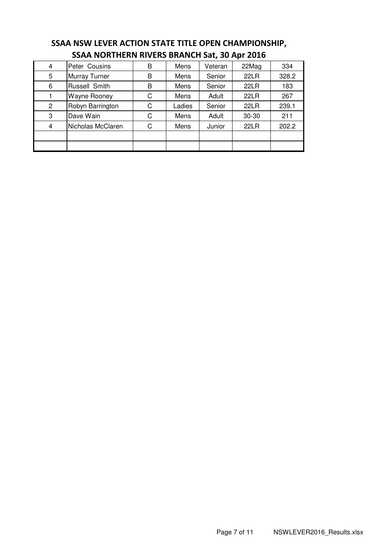|                | 33AA NONTHENN NIVENS DNANGH 381, 30 API 2010 |   |        |         |       |       |  |  |  |  |
|----------------|----------------------------------------------|---|--------|---------|-------|-------|--|--|--|--|
| 4              | Peter Cousins                                | B | Mens   | Veteran | 22Mag | 334   |  |  |  |  |
| 5              | Murray Turner                                | В | Mens   | Senior  | 22LR  | 328.2 |  |  |  |  |
| 6              | Russell Smith                                | B | Mens   | Senior  | 22LR  | 183   |  |  |  |  |
|                | <b>Wayne Rooney</b>                          | С | Mens   | Adult   | 22LR  | 267   |  |  |  |  |
| $\overline{2}$ | Robyn Barrington                             | C | Ladies | Senior  | 22LR  | 239.1 |  |  |  |  |
| 3              | Dave Wain                                    | C | Mens   | Adult   | 30-30 | 211   |  |  |  |  |
| 4              | Nicholas McClaren                            | C | Mens   | Junior  | 22LR  | 202.2 |  |  |  |  |
|                |                                              |   |        |         |       |       |  |  |  |  |
|                |                                              |   |        |         |       |       |  |  |  |  |

#### SSAA NSW LEVER ACTION STATE TITLE OPEN CHAMPIONSHIP, SSAA NORTHERN RIVERS BRANCH Sat, 30 Apr 2016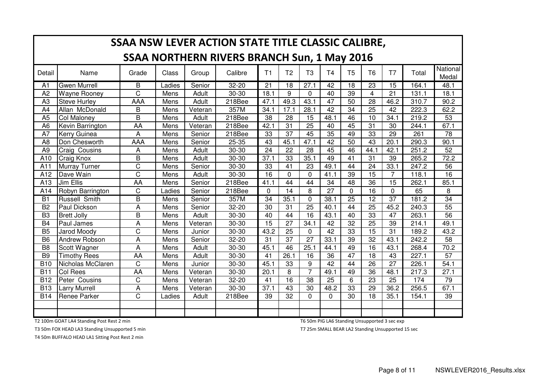|                 | SSAA NSW LEVER ACTION STATE TITLE CLASSIC CALIBRE, |                       |        |         |           |                 |                 |                 |                 |                 |                 |                 |       |                   |
|-----------------|----------------------------------------------------|-----------------------|--------|---------|-----------|-----------------|-----------------|-----------------|-----------------|-----------------|-----------------|-----------------|-------|-------------------|
|                 | <b>SSAA NORTHERN RIVERS BRANCH Sun, 1 May 2016</b> |                       |        |         |           |                 |                 |                 |                 |                 |                 |                 |       |                   |
| Detail          | Name                                               | Grade                 | Class  | Group   | Calibre   | T1              | T <sub>2</sub>  | T <sub>3</sub>  | T <sub>4</sub>  | T <sub>5</sub>  | T <sub>6</sub>  | T7              | Total | National<br>Medal |
| A <sub>1</sub>  | <b>Gwen Murrell</b>                                | B                     | Ladies | Senior  | $32 - 20$ | $\overline{21}$ | $\overline{18}$ | 27.1            | $\overline{42}$ | 18              | $\overline{23}$ | $\overline{15}$ | 164.1 | 48.1              |
| A2              | <b>Wayne Rooney</b>                                | C                     | Mens   | Adult   | 30-30     | 18.1            | 9               | $\mathbf 0$     | 40              | 39              | 4               | 21              | 131.1 | 18.1              |
| A <sub>3</sub>  | <b>Steve Hurley</b>                                | AAA                   | Mens   | Adult   | 218Bee    | 47.1            | 49.3            | 43.1            | $\overline{47}$ | 50              | 28              | 46.2            | 310.7 | 90.2              |
| A4              | Allan McDonald                                     | B                     | Mens   | Veteran | 357M      | 34.1            | 17.1            | 28.1            | $\overline{42}$ | $\overline{34}$ | 25              | 42              | 222.3 | 62.2              |
| A <sub>5</sub>  | <b>Col Maloney</b>                                 | B                     | Mens   | Adult   | 218Bee    | 38              | 28              | 15              | 48.1            | 46              | 10              | 34.1            | 219.2 | 53                |
| A <sub>6</sub>  | Kevin Barrington                                   | AA                    | Mens   | Veteran | 218Bee    | 42.1            | $\overline{31}$ | 25              | 40              | 45              | 31              | 30              | 244.1 | 67.1              |
| A7              | <b>Kerry Guinea</b>                                | A                     | Mens   | Senior  | 218Bee    | 33              | 37              | 45              | 35              | 49              | 33              | 29              | 261   | 78                |
| A <sub>8</sub>  | Don Chesworth                                      | AAA                   | Mens   | Senior  | 25-35     | 43              | 45.1            | 47.1            | $\overline{42}$ | 50              | 43              | 20.1            | 290.3 | 90.1              |
| A <sub>9</sub>  | <b>Craig Cousins</b>                               | A                     | Mens   | Adult   | 30-30     | 24              | 22              | 28              | 45              | 46              | 44.1            | 42.1            | 251.2 | 52                |
| A10             | Craig Knox                                         | B                     | Mens   | Adult   | 30-30     | 37.1            | 33              | 35.1            | 49              | 41              | $\overline{31}$ | 39              | 265.2 | 72.2              |
| A <sub>11</sub> | <b>Murray Turner</b>                               | C                     | Mens   | Senior  | 30-30     | 33              | 41              | 23              | 49.1            | 44              | 24              | 33.1            | 247.2 | 56                |
| A12             | Dave Wain                                          | $\overline{\text{C}}$ | Mens   | Adult   | 30-30     | $\overline{16}$ | $\Omega$        | $\mathbf 0$     | 41.1            | 39              | 15              | $\overline{7}$  | 118.1 | $\overline{16}$   |
| A13             | Jim Ellis                                          | AA                    | Mens   | Senior  | 218Bee    | 41.1            | 44              | 44              | 34              | 48              | 36              | 15              | 262.1 | 85.1              |
| A14             | Robyn Barrington                                   | $\mathsf C$           | Ladies | Senior  | 218Bee    | $\Omega$        | 14              | 8               | 27              | $\Omega$        | 16              | $\mathbf 0$     | 65    | 8                 |
| $\overline{B1}$ | <b>Russell Smith</b>                               | $\overline{B}$        | Mens   | Senior  | 357M      | $\overline{34}$ | 35.1            | 0               | 38.1            | $\overline{25}$ | $\overline{12}$ | 37              | 181.2 | 34                |
| B <sub>2</sub>  | Paul Dickson                                       | A                     | Mens   | Senior  | 32-20     | 30              | 31              | $\overline{25}$ | 40.1            | 44              | 25              | 45.2            | 240.3 | $\overline{55}$   |
| B <sub>3</sub>  | <b>Brett Jolly</b>                                 | B                     | Mens   | Adult   | 30-30     | 40              | 44              | $\overline{16}$ | 43.1            | 40              | 33              | $\overline{47}$ | 263.1 | $\overline{56}$   |
| <b>B4</b>       | Paul James                                         | A                     | Mens   | Veteran | 30-30     | 15              | 27              | 34.1            | 42              | 32              | 25              | 39              | 214.1 | 49.1              |
| <b>B5</b>       | Jarod Moody                                        | C                     | Mens   | Junior  | 30-30     | 43.2            | 25              | $\mathbf 0$     | 42              | 33              | 15              | 31              | 189.2 | 43.2              |
| B <sub>6</sub>  | <b>Andrew Robson</b>                               | A                     | Mens   | Senior  | 32-20     | 31              | 37              | 27              | 33.1            | 39              | 32              | 43.1            | 242.2 | 58                |
| B <sub>8</sub>  | Scott Wagner                                       | A                     | Mens   | Adult   | 30-30     | 45.1            | 46              | 25.1            | 44.1            | 49              | 16              | 43.1            | 268.4 | 70.2              |
| B <sub>9</sub>  | <b>Timothy Rees</b>                                | AA                    | Mens   | Adult   | 30-30     | 41              | 26.1            | 16              | 36              | 47              | 18              | 43              | 227.1 | 57                |
| <b>B10</b>      | Nicholas McClaren                                  | $\mathsf C$           | Mens   | Junior  | 30-30     | 45.1            | 33              | 9               | 42              | 44              | 26              | 27              | 226.1 | 54.1              |
| <b>B11</b>      | <b>Col Rees</b>                                    | AA                    | Mens   | Veteran | 30-30     | 20.1            | 8               | $\overline{7}$  | 49.1            | 49              | 36              | 48.1            | 217.3 | 27.1              |
| <b>B12</b>      | Peter Cousins                                      | C                     | Mens   | Veteran | 32-20     | 41              | 16              | 38              | 25              | 6               | 23              | 25              | 174   | 79                |
| <b>B13</b>      | <b>Larry Murrell</b>                               | A                     | Mens   | Veteran | 30-30     | 37.1            | 43              | 30              | 48.2            | 33              | 29              | 36.2            | 256.5 | 67.1              |
| <b>B14</b>      | <b>Renee Parker</b>                                | C                     | Ladies | Adult   | 218Bee    | 39              | 32              | $\Omega$        | $\mathbf{0}$    | 30              | 18              | 35.1            | 154.1 | 39                |
|                 |                                                    |                       |        |         |           |                 |                 |                 |                 |                 |                 |                 |       |                   |
|                 |                                                    |                       |        |         |           |                 |                 |                 |                 |                 |                 |                 |       |                   |

T2 100m GOAT LA4 Standing Post Rest 2 min

T3 50m FOX HEAD LA3 Standing Unsupported 5 min

T4 50m BUFFALO HEAD LA1 Sitting Post Rest 2 min

T6 50m PIG LA6 Standing Unsupported 3 sec exp

T7 25m SMALL BEAR LA2 Standing Unsupported 15 sec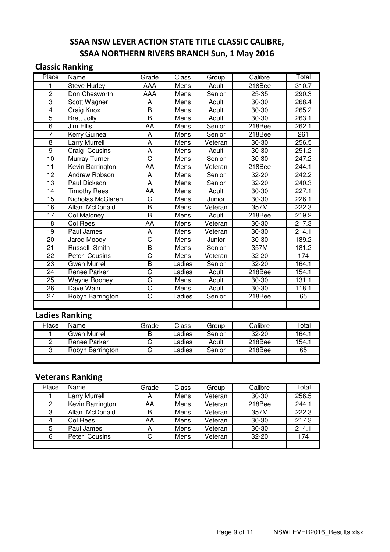## SSAA NSW LEVER ACTION STATE TITLE CLASSIC CALIBRE, SSAA NORTHERN RIVERS BRANCH Sun, 1 May 2016

#### Classic Ranking

| Place           | Name                 | Grade                   | Class  | Group   | Calibre   | Total |
|-----------------|----------------------|-------------------------|--------|---------|-----------|-------|
| 1               | <b>Steve Hurley</b>  | <b>AAA</b>              | Mens   | Adult   | 218Bee    | 310.7 |
| $\overline{2}$  | Don Chesworth        | AAA                     | Mens   | Senior  | 25-35     | 290.3 |
| $\overline{3}$  | Scott Wagner         | A                       | Mens   | Adult   | 30-30     | 268.4 |
| $\overline{4}$  | Craig Knox           | $\overline{\mathsf{B}}$ | Mens   | Adult   | 30-30     | 265.2 |
| $\overline{5}$  | <b>Brett Jolly</b>   | $\overline{\mathsf{B}}$ | Mens   | Adult   | 30-30     | 263.1 |
| $\overline{6}$  | Jim Ellis            | AA                      | Mens   | Senior  | 218Bee    | 262.1 |
| $\overline{7}$  | Kerry Guinea         | A                       | Mens   | Senior  | 218Bee    | 261   |
| 8               | <b>Larry Murrell</b> | A                       | Mens   | Veteran | 30-30     | 256.5 |
| $\overline{9}$  | Craig Cousins        | $\overline{\mathsf{A}}$ | Mens   | Adult   | 30-30     | 251.2 |
| 10              | Murray Turner        | $\overline{\text{C}}$   | Mens   | Senior  | 30-30     | 247.2 |
| $\overline{11}$ | Kevin Barrington     | <b>AA</b>               | Mens   | Veteran | 218Bee    | 244.1 |
| 12              | Andrew Robson        | A                       | Mens   | Senior  | 32-20     | 242.2 |
| 13              | Paul Dickson         | A                       | Mens   | Senior  | 32-20     | 240.3 |
| 14              | <b>Timothy Rees</b>  | AA                      | Mens   | Adult   | 30-30     | 227.1 |
| 15              | Nicholas McClaren    | $\overline{\text{C}}$   | Mens   | Junior  | 30-30     | 226.1 |
| 16              | Allan McDonald       | $\overline{\mathsf{B}}$ | Mens   | Veteran | 357M      | 222.3 |
| 17              | Col Maloney          | $\overline{\mathsf{B}}$ | Mens   | Adult   | 218Bee    | 219.2 |
| $\overline{18}$ | Col Rees             | AA                      | Mens   | Veteran | 30-30     | 217.3 |
| 19              | Paul James           | A                       | Mens   | Veteran | 30-30     | 214.1 |
| 20              | <b>Jarod Moody</b>   | $\overline{\text{C}}$   | Mens   | Junior  | 30-30     | 189.2 |
| 21              | Russell Smith        | $\overline{\mathsf{B}}$ | Mens   | Senior  | 357M      | 181.2 |
| 22              | Peter Cousins        | C                       | Mens   | Veteran | 32-20     | 174   |
| 23              | <b>Gwen Murrell</b>  | $\overline{\mathsf{B}}$ | Ladies | Senior  | 32-20     | 164.1 |
| $\overline{24}$ | Renee Parker         | $\overline{\text{c}}$   | Ladies | Adult   | 218Bee    | 154.1 |
| 25              | Wayne Rooney         | $\overline{\text{C}}$   | Mens   | Adult   | 30-30     | 131.1 |
| $\overline{26}$ | Dave Wain            | $\overline{\text{C}}$   | Mens   | Adult   | $30 - 30$ | 118.1 |
| $\overline{27}$ | Robyn Barrington     | $\overline{\text{C}}$   | Ladies | Senior  | 218Bee    | 65    |
|                 |                      |                         |        |         |           |       |

## Ladies Ranking

| Place | Name             | Grade | Class  | Group  | Calibre   | Total |
|-------|------------------|-------|--------|--------|-----------|-------|
|       | Gwen Murrell     | В     | _adies | Senior | $32 - 20$ | 164.1 |
| 2     | Renee Parker     |       | _adies | Adult  | 218Bee    | 154.1 |
| 3     | Robyn Barrington |       | _adies | Senior | 218Bee    | 65    |
|       |                  |       |        |        |           |       |

### Veterans Ranking

| Place | <b>Name</b>      | Grade | Class | Group   | Calibre   | Total |
|-------|------------------|-------|-------|---------|-----------|-------|
|       | Larry Murrell    | А     | Mens  | Veteran | $30 - 30$ | 256.5 |
| 2     | Kevin Barrington | AA    | Mens  | Veteran | 218Bee    | 244.1 |
| 3     | Allan McDonald   | B     | Mens  | Veteran | 357M      | 222.3 |
| 4     | <b>Col Rees</b>  | AA    | Mens  | Veteran | $30 - 30$ | 217.3 |
| 5     | Paul James       | А     | Mens  | Veteran | 30-30     | 214.1 |
| 6     | Peter Cousins    | C     | Mens  | Veteran | $32 - 20$ | 174   |
|       |                  |       |       |         |           |       |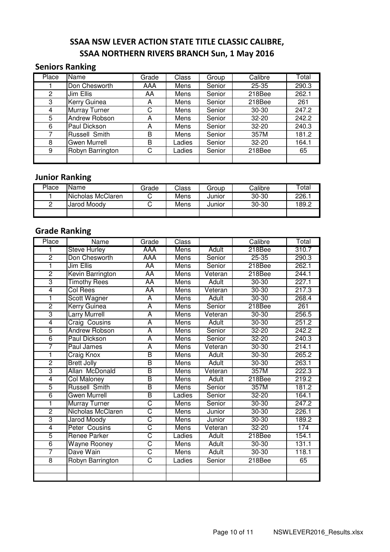## SSAA NSW LEVER ACTION STATE TITLE CLASSIC CALIBRE, SSAA NORTHERN RIVERS BRANCH Sun, 1 May 2016

#### Seniors Ranking

| Place | Name                 | Grade | Class  | Group  | Calibre   | Total |
|-------|----------------------|-------|--------|--------|-----------|-------|
|       | Don Chesworth        | AAA   | Mens   | Senior | $25 - 35$ | 290.3 |
| 2     | Jim Ellis            | AA    | Mens   | Senior | 218Bee    | 262.1 |
| 3     | <b>Kerry Guinea</b>  | А     | Mens   | Senior | 218Bee    | 261   |
| 4     | <b>Murray Turner</b> | C     | Mens   | Senior | $30 - 30$ | 247.2 |
| 5     | Andrew Robson        | А     | Mens   | Senior | $32 - 20$ | 242.2 |
| 6     | Paul Dickson         | А     | Mens   | Senior | $32 - 20$ | 240.3 |
| 7     | Russell Smith        | B     | Mens   | Senior | 357M      | 181.2 |
| 8     | Gwen Murrell         | B     | Ladies | Senior | $32 - 20$ | 164.1 |
| 9     | Robyn Barrington     | С     | Ladies | Senior | 218Bee    | 65    |
|       |                      |       |        |        |           |       |

#### Junior Ranking

| Place | Name              | Grade | Class | Group  | Calibre   | $\tau$ otal |
|-------|-------------------|-------|-------|--------|-----------|-------------|
|       | Nicholas McClaren |       | Mens  | Junior | $30 - 30$ | 226.        |
|       | Jarod Moodv       |       | Mens  | Junior | $30 - 30$ | 189.2       |
|       |                   |       |       |        |           |             |

### Grade Ranking

| Place          | Name                 | Grade                   | Class       |              | Calibre   | Total |
|----------------|----------------------|-------------------------|-------------|--------------|-----------|-------|
|                | Steve Hurley         | AAA                     | Mens        | Adult        | 218Bee    | 310.7 |
| $\overline{2}$ | Don Chesworth        | <b>AAA</b>              | Mens        | Senior       | $25 - 35$ | 290.3 |
| 1              | Jim Ellis            | <b>AA</b>               | Mens        | Senior       | 218Bee    | 262.1 |
| $\overline{2}$ | Kevin Barrington     | AA                      | Mens        | Veteran      | 218Bee    | 244.1 |
| 3              | <b>Timothy Rees</b>  | AA                      | Mens        | Adult        | $30 - 30$ | 227.1 |
| $\overline{4}$ | Col Rees             | AA                      | Mens        | Veteran      | $30 - 30$ | 217.3 |
| ī              | Scott Wagner         | A                       | Mens        | Adult        | $30 - 30$ | 268.4 |
| $\overline{2}$ | Kerry Guinea         | $\overline{\mathsf{A}}$ | Mens        | Senior       | 218Bee    | 261   |
| 3              | <b>Larry Murrell</b> | $\overline{\mathsf{A}}$ | Mens        | Veteran      | $30 - 30$ | 256.5 |
| $\overline{4}$ | Craig Cousins        | $\overline{\mathsf{A}}$ | Mens        | Adult        | $30 - 30$ | 251.2 |
| $\overline{5}$ | <b>Andrew Robson</b> | $\overline{\mathsf{A}}$ | Mens        | Senior       | $32 - 20$ | 242.2 |
| 6              | Paul Dickson         | $\overline{\mathsf{A}}$ | Mens        | Senior       | $32 - 20$ | 240.3 |
| 7              | Paul James           | $\overline{\mathsf{A}}$ | <b>Mens</b> | Veteran      | $30 - 30$ | 214.1 |
| 1              | Craig Knox           | $\overline{\mathsf{B}}$ | <b>Mens</b> | <b>Adult</b> | $30 - 30$ | 265.2 |
| $\overline{2}$ | <b>Brett Jolly</b>   | B                       | <b>Mens</b> | <b>Adult</b> | $30 - 30$ | 263.1 |
| $\overline{3}$ | Allan McDonald       | B                       | Mens        | Veteran      | 357M      | 222.3 |
| 4              | <b>Col Maloney</b>   | B                       | Mens        | Adult        | 218Bee    | 219.2 |
| $\overline{5}$ | <b>Russell Smith</b> | $\overline{\mathsf{B}}$ | Mens        | Senior       | 357M      | 181.2 |
| $\overline{6}$ | Gwen Murrell         | B                       | Ladies      | Senior       | $32 - 20$ | 164.1 |
| 1              | Murray Turner        | C                       | Mens        | Senior       | $30 - 30$ | 247.2 |
| $\overline{2}$ | Nicholas McClaren    | $\overline{\text{C}}$   | <b>Mens</b> | Junior       | $30 - 30$ | 226.1 |
| 3              | <b>Jarod Moody</b>   | $\overline{\text{C}}$   | Mens        | Junior       | $30 - 30$ | 189.2 |
| 4              | Peter Cousins        | $\overline{\text{C}}$   | <b>Mens</b> | Veteran      | $32 - 20$ | 174   |
| 5              | Renee Parker         | $\overline{\text{C}}$   | Ladies      | Adult        | 218Bee    | 154.1 |
| $\overline{6}$ | <b>Wayne Rooney</b>  | $\overline{\text{C}}$   | <b>Mens</b> | <b>Adult</b> | $30 - 30$ | 131.1 |
| 7              | Dave Wain            | $\overline{\text{C}}$   | Mens        | Adult        | $30 - 30$ | 118.1 |
| $\overline{8}$ | Robyn Barrington     | $\overline{\text{C}}$   | Ladies      | Senior       | 218Bee    | 65    |
|                |                      |                         |             |              |           |       |
|                |                      |                         |             |              |           |       |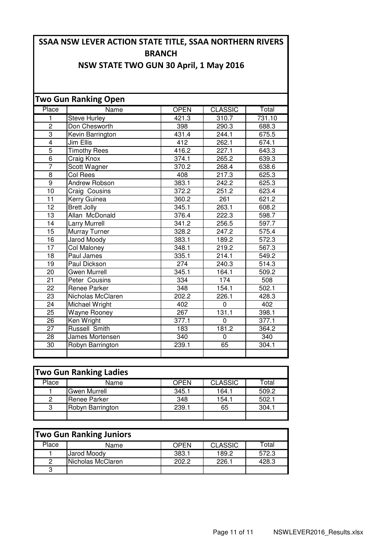## SSAA NSW LEVER ACTION STATE TITLE, SSAA NORTHERN RIVERS **BRANCH**

### NSW STATE TWO GUN 30 April, 1 May 2016

|                 | <b>Two Gun Ranking Open</b> |                  |                |        |
|-----------------|-----------------------------|------------------|----------------|--------|
| Place           | Name                        | <b>OPEN</b>      | <b>CLASSIC</b> | Total  |
| 1               | <b>Steve Hurley</b>         | 421.3            | 310.7          | 731.10 |
| $\overline{2}$  | Don Chesworth               | 398              | 290.3          | 688.3  |
| $\overline{3}$  | Kevin Barrington            | 431.4            | 244.1          | 675.5  |
| $\overline{4}$  | <b>Jim Ellis</b>            | 412              | 262.1          | 674.1  |
| 5               | <b>Timothy Rees</b>         | 416.2            | 227.1          | 643.3  |
| $\overline{6}$  | Craig Knox                  | 374.1            | 265.2          | 639.3  |
| 7               | Scott Wagner                | 370.2            | 268.4          | 638.6  |
| 8               | Col Rees                    | 408              | 217.3          | 625.3  |
| $\overline{9}$  | <b>Andrew Robson</b>        | 383.1            | 242.2          | 625.3  |
| 10              | Craig Cousins               | 372.2            | 251.2          | 623.4  |
| $\overline{11}$ | Kerry Guinea                | 360.2            | 261            | 621.2  |
| $\overline{12}$ | <b>Brett Jolly</b>          | 345.1            | 263.1          | 608.2  |
| $\overline{13}$ | Allan McDonald              | 376.4            | 222.3          | 598.7  |
| $\overline{14}$ | <b>Larry Murrell</b>        | 341.2            | 256.5          | 597.7  |
| 15              | <b>Murray Turner</b>        | 328.2            | 247.2          | 575.4  |
| $\overline{16}$ | <b>Jarod Moody</b>          | 383.1            | 189.2          | 572.3  |
| 17              | <b>Col Maloney</b>          | 348.1            | 219.2          | 567.3  |
| 18              | Paul James                  | 335.1            | 214.1          | 549.2  |
| 19              | Paul Dickson                | 274              | 240.3          | 514.3  |
| 20              | <b>Gwen Murrell</b>         | 345.1            | 164.1          | 509.2  |
| 21              | Peter Cousins               | 334              | 174            | 508    |
| $\overline{22}$ | Renee Parker                | $\overline{348}$ | 154.1          | 502.1  |
| 23              | Nicholas McClaren           | 202.2            | 226.1          | 428.3  |
| 24              | Michael Wright              | 402              | 0              | 402    |
| 25              | Wayne Rooney                | 267              | 131.1          | 398.1  |
| $\overline{26}$ | Ken Wright                  | 377.1            | $\Omega$       | 377.1  |
| 27              | <b>Russell Smith</b>        | 183              | 181.2          | 364.2  |
| 28              | James Mortensen             | 340              | $\Omega$       | 340    |
| 30              | Robyn Barrington            | 239.1            | 65             | 304.1  |
|                 |                             |                  |                |        |

| <b>Two Gun Ranking Ladies</b> |                  |             |                |       |  |  |  |  |
|-------------------------------|------------------|-------------|----------------|-------|--|--|--|--|
| Place                         | Name             | <b>OPEN</b> | <b>CLASSIC</b> | Total |  |  |  |  |
|                               | Gwen Murrell     | 345.1       | 164.1          | 509.2 |  |  |  |  |
| 2                             | Renee Parker     | 348         | 154.1          | 502.1 |  |  |  |  |
| 3                             | Robyn Barrington | 239.1       | 65             | 304.1 |  |  |  |  |
|                               |                  |             |                |       |  |  |  |  |

| <b>Two Gun Ranking Juniors</b> |                   |       |                |       |  |  |  |  |
|--------------------------------|-------------------|-------|----------------|-------|--|--|--|--|
| Place                          | Name              | OPEN  | <b>CLASSIC</b> | Total |  |  |  |  |
|                                | Jarod Moody       | 383.1 | 189.2          | 572.3 |  |  |  |  |
|                                | Nicholas McClaren | 202.2 | 226.1          | 428.3 |  |  |  |  |
|                                |                   |       |                |       |  |  |  |  |